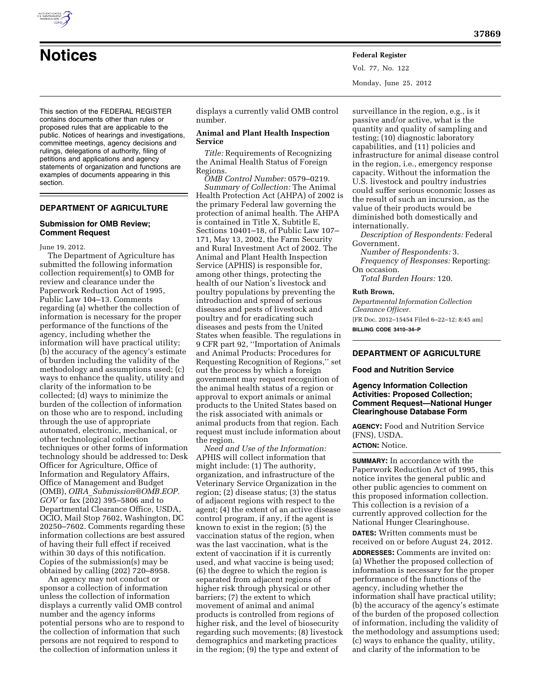This section of the FEDERAL REGISTER contains documents other than rules or proposed rules that are applicable to the public. Notices of hearings and investigations, committee meetings, agency decisions and rulings, delegations of authority, filing of petitions and applications and agency statements of organization and functions are examples of documents appearing in this section.

# **DEPARTMENT OF AGRICULTURE**

### **Submission for OMB Review; Comment Request**

June 19, 2012.

The Department of Agriculture has submitted the following information collection requirement(s) to OMB for review and clearance under the Paperwork Reduction Act of 1995, Public Law 104–13. Comments regarding (a) whether the collection of information is necessary for the proper performance of the functions of the agency, including whether the information will have practical utility; (b) the accuracy of the agency's estimate of burden including the validity of the methodology and assumptions used; (c) ways to enhance the quality, utility and clarity of the information to be collected; (d) ways to minimize the burden of the collection of information on those who are to respond, including through the use of appropriate automated, electronic, mechanical, or other technological collection techniques or other forms of information technology should be addressed to: Desk Officer for Agriculture, Office of Information and Regulatory Affairs, Office of Management and Budget (OMB), *OIRA*\_*[Submission@OMB.EOP.](mailto:OIRA_Submission@OMB.EOP.GOV) [GOV](mailto:OIRA_Submission@OMB.EOP.GOV)* or fax (202) 395–5806 and to Departmental Clearance Office, USDA, OCIO, Mail Stop 7602, Washington, DC 20250–7602. Comments regarding these information collections are best assured of having their full effect if received within 30 days of this notification. Copies of the submission(s) may be obtained by calling (202) 720–8958.

An agency may not conduct or sponsor a collection of information unless the collection of information displays a currently valid OMB control number and the agency informs potential persons who are to respond to the collection of information that such persons are not required to respond to the collection of information unless it

displays a currently valid OMB control number.

# **Animal and Plant Health Inspection Service**

**Notices Federal Register**

*Title:* Requirements of Recognizing the Animal Health Status of Foreign Regions.

*OMB Control Number:* 0579–0219. *Summary of Collection:* The Animal Health Protection Act (AHPA) of 2002 is the primary Federal law governing the protection of animal health. The AHPA is contained in Title X, Subtitle E, Sections 10401–18, of Public Law 107– 171, May 13, 2002, the Farm Security and Rural Investment Act of 2002. The Animal and Plant Health Inspection Service (APHIS) is responsible for, among other things, protecting the health of our Nation's livestock and poultry populations by preventing the introduction and spread of serious diseases and pests of livestock and poultry and for eradicating such diseases and pests from the United States when feasible. The regulations in 9 CFR part 92, ''Importation of Animals and Animal Products: Procedures for Requesting Recognition of Regions,'' set out the process by which a foreign government may request recognition of the animal health status of a region or approval to export animals or animal products to the United States based on the risk associated with animals or animal products from that region. Each request must include information about the region.

*Need and Use of the Information:*  APHIS will collect information that might include: (1) The authority, organization, and infrastructure of the Veterinary Service Organization in the region; (2) disease status; (3) the status of adjacent regions with respect to the agent; (4) the extent of an active disease control program, if any, if the agent is known to exist in the region; (5) the vaccination status of the region, when was the last vaccination, what is the extent of vaccination if it is currently used, and what vaccine is being used; (6) the degree to which the region is separated from adjacent regions of higher risk through physical or other barriers; (7) the extent to which movement of animal and animal products is controlled from regions of higher risk, and the level of biosecurity regarding such movements; (8) livestock demographics and marketing practices in the region; (9) the type and extent of

surveillance in the region, e.g., is it passive and/or active, what is the quantity and quality of sampling and testing; (10) diagnostic laboratory capabilities, and (11) policies and infrastructure for animal disease control in the region, i.e., emergency response capacity. Without the information the U.S. livestock and poultry industries could suffer serious economic losses as the result of such an incursion, as the value of their products would be diminished both domestically and internationally.

*Description of Respondents:* Federal Government.

*Number of Respondents:* 3. *Frequency of Responses:* Reporting: On occasion.

*Total Burden Hours:* 120.

#### **Ruth Brown,**

Vol. 77, No. 122

Monday, June 25, 2012

*Departmental Information Collection Clearance Officer.* 

[FR Doc. 2012–15454 Filed 6–22–12; 8:45 am] **BILLING CODE 3410–34–P** 

# **DEPARTMENT OF AGRICULTURE**

### **Food and Nutrition Service**

# **Agency Information Collection Activities: Proposed Collection; Comment Request—National Hunger Clearinghouse Database Form**

**AGENCY:** Food and Nutrition Service (FNS), USDA.

# **ACTION:** Notice.

**SUMMARY:** In accordance with the Paperwork Reduction Act of 1995, this notice invites the general public and other public agencies to comment on this proposed information collection. This collection is a revision of a currently approved collection for the National Hunger Clearinghouse.

**DATES:** Written comments must be received on or before August 24, 2012.

**ADDRESSES:** Comments are invited on: (a) Whether the proposed collection of information is necessary for the proper performance of the functions of the agency, including whether the information shall have practical utility; (b) the accuracy of the agency's estimate of the burden of the proposed collection of information, including the validity of the methodology and assumptions used; (c) ways to enhance the quality, utility, and clarity of the information to be